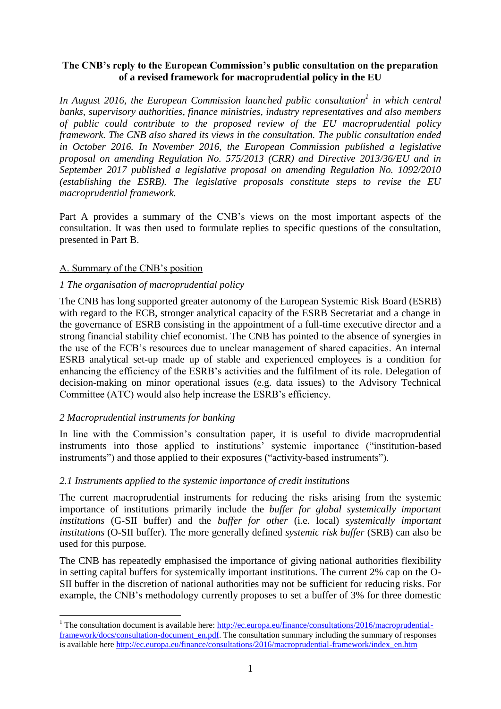# **The CNB's reply to the European Commission's public consultation on the preparation of a revised framework for macroprudential policy in the EU**

In August 2016, the European Commission launched public consultation<sup>1</sup> in which central *banks, supervisory authorities, finance ministries, industry representatives and also members of public could contribute to the proposed review of the EU macroprudential policy framework. The CNB also shared its views in the consultation. The public consultation ended in October 2016. In November 2016, the European Commission published a legislative proposal on amending Regulation No. 575/2013 (CRR) and Directive 2013/36/EU and in September 2017 published a legislative proposal on amending Regulation No. 1092/2010 (establishing the ESRB). The legislative proposals constitute steps to revise the EU macroprudential framework.*

Part A provides a summary of the CNB's views on the most important aspects of the consultation. It was then used to formulate replies to specific questions of the consultation, presented in Part B.

#### A. Summary of the CNB's position

#### *1 The organisation of macroprudential policy*

The CNB has long supported greater autonomy of the European Systemic Risk Board (ESRB) with regard to the ECB, stronger analytical capacity of the ESRB Secretariat and a change in the governance of ESRB consisting in the appointment of a full-time executive director and a strong financial stability chief economist. The CNB has pointed to the absence of synergies in the use of the ECB's resources due to unclear management of shared capacities. An internal ESRB analytical set-up made up of stable and experienced employees is a condition for enhancing the efficiency of the ESRB's activities and the fulfilment of its role. Delegation of decision-making on minor operational issues (e.g. data issues) to the Advisory Technical Committee (ATC) would also help increase the ESRB's efficiency.

#### *2 Macroprudential instruments for banking*

1

In line with the Commission's consultation paper, it is useful to divide macroprudential instruments into those applied to institutions' systemic importance ("institution-based instruments") and those applied to their exposures ("activity-based instruments").

#### *2.1 Instruments applied to the systemic importance of credit institutions*

The current macroprudential instruments for reducing the risks arising from the systemic importance of institutions primarily include the *buffer for global systemically important institutions* (G-SII buffer) and the *buffer for other* (i.e. local) *systemically important institutions* (O-SII buffer). The more generally defined *systemic risk buffer* (SRB) can also be used for this purpose.

The CNB has repeatedly emphasised the importance of giving national authorities flexibility in setting capital buffers for systemically important institutions. The current 2% cap on the O-SII buffer in the discretion of national authorities may not be sufficient for reducing risks. For example, the CNB's methodology currently proposes to set a buffer of 3% for three domestic

<sup>&</sup>lt;sup>1</sup> The consultation document is available here:  $\frac{http://ec.europa.eu/finance/consultations/2016/macroprudential-}{$ [framework/docs/consultation-document\\_en.pdf.](http://ec.europa.eu/finance/consultations/2016/macroprudential-framework/docs/consultation-document_en.pdf) The consultation summary including the summary of responses is available here [http://ec.europa.eu/finance/consultations/2016/macroprudential-framework/index\\_en.htm](http://ec.europa.eu/finance/consultations/2016/macroprudential-framework/index_en.htm)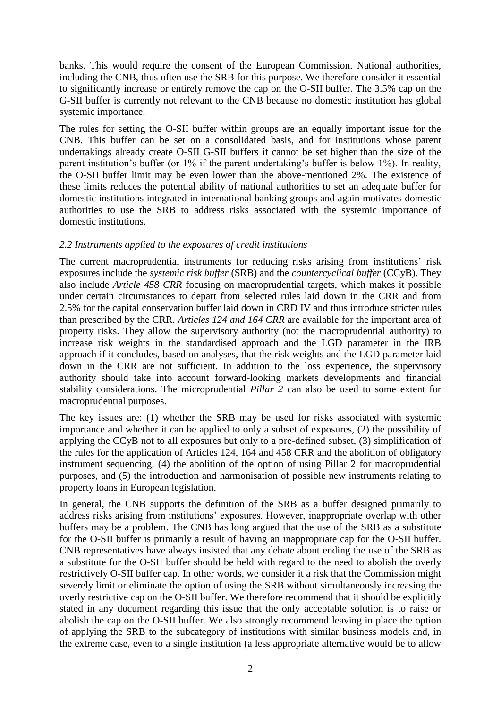banks. This would require the consent of the European Commission. National authorities, including the CNB, thus often use the SRB for this purpose. We therefore consider it essential to significantly increase or entirely remove the cap on the O-SII buffer. The 3.5% cap on the G-SII buffer is currently not relevant to the CNB because no domestic institution has global systemic importance.

The rules for setting the O-SII buffer within groups are an equally important issue for the CNB. This buffer can be set on a consolidated basis, and for institutions whose parent undertakings already create O-SII G-SII buffers it cannot be set higher than the size of the parent institution's buffer (or 1% if the parent undertaking's buffer is below 1%). In reality, the O-SII buffer limit may be even lower than the above-mentioned 2%. The existence of these limits reduces the potential ability of national authorities to set an adequate buffer for domestic institutions integrated in international banking groups and again motivates domestic authorities to use the SRB to address risks associated with the systemic importance of domestic institutions.

#### *2.2 Instruments applied to the exposures of credit institutions*

The current macroprudential instruments for reducing risks arising from institutions' risk exposures include the *systemic risk buffer* (SRB) and the *countercyclical buffer* (CCyB). They also include *Article 458 CRR* focusing on macroprudential targets, which makes it possible under certain circumstances to depart from selected rules laid down in the CRR and from 2.5% for the capital conservation buffer laid down in CRD IV and thus introduce stricter rules than prescribed by the CRR. *Articles 124 and 164 CRR* are available for the important area of property risks. They allow the supervisory authority (not the macroprudential authority) to increase risk weights in the standardised approach and the LGD parameter in the IRB approach if it concludes, based on analyses, that the risk weights and the LGD parameter laid down in the CRR are not sufficient. In addition to the loss experience, the supervisory authority should take into account forward-looking markets developments and financial stability considerations. The microprudential *Pillar 2* can also be used to some extent for macroprudential purposes.

The key issues are: (1) whether the SRB may be used for risks associated with systemic importance and whether it can be applied to only a subset of exposures, (2) the possibility of applying the CCyB not to all exposures but only to a pre-defined subset, (3) simplification of the rules for the application of Articles 124, 164 and 458 CRR and the abolition of obligatory instrument sequencing, (4) the abolition of the option of using Pillar 2 for macroprudential purposes, and (5) the introduction and harmonisation of possible new instruments relating to property loans in European legislation.

In general, the CNB supports the definition of the SRB as a buffer designed primarily to address risks arising from institutions' exposures. However, inappropriate overlap with other buffers may be a problem. The CNB has long argued that the use of the SRB as a substitute for the O-SII buffer is primarily a result of having an inappropriate cap for the O-SII buffer. CNB representatives have always insisted that any debate about ending the use of the SRB as a substitute for the O-SII buffer should be held with regard to the need to abolish the overly restrictively O-SII buffer cap. In other words, we consider it a risk that the Commission might severely limit or eliminate the option of using the SRB without simultaneously increasing the overly restrictive cap on the O-SII buffer. We therefore recommend that it should be explicitly stated in any document regarding this issue that the only acceptable solution is to raise or abolish the cap on the O-SII buffer. We also strongly recommend leaving in place the option of applying the SRB to the subcategory of institutions with similar business models and, in the extreme case, even to a single institution (a less appropriate alternative would be to allow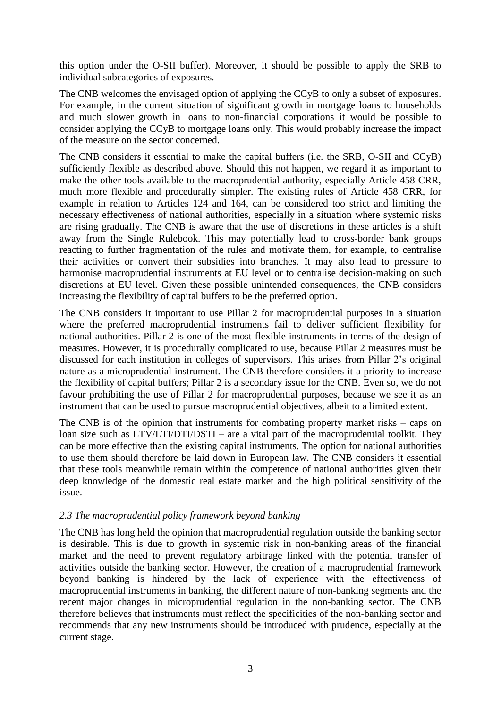this option under the O-SII buffer). Moreover, it should be possible to apply the SRB to individual subcategories of exposures.

The CNB welcomes the envisaged option of applying the CCyB to only a subset of exposures. For example, in the current situation of significant growth in mortgage loans to households and much slower growth in loans to non-financial corporations it would be possible to consider applying the CCyB to mortgage loans only. This would probably increase the impact of the measure on the sector concerned.

The CNB considers it essential to make the capital buffers (i.e. the SRB, O-SII and CCyB) sufficiently flexible as described above. Should this not happen, we regard it as important to make the other tools available to the macroprudential authority, especially Article 458 CRR, much more flexible and procedurally simpler. The existing rules of Article 458 CRR, for example in relation to Articles 124 and 164, can be considered too strict and limiting the necessary effectiveness of national authorities, especially in a situation where systemic risks are rising gradually. The CNB is aware that the use of discretions in these articles is a shift away from the Single Rulebook. This may potentially lead to cross-border bank groups reacting to further fragmentation of the rules and motivate them, for example, to centralise their activities or convert their subsidies into branches. It may also lead to pressure to harmonise macroprudential instruments at EU level or to centralise decision-making on such discretions at EU level. Given these possible unintended consequences, the CNB considers increasing the flexibility of capital buffers to be the preferred option.

The CNB considers it important to use Pillar 2 for macroprudential purposes in a situation where the preferred macroprudential instruments fail to deliver sufficient flexibility for national authorities. Pillar 2 is one of the most flexible instruments in terms of the design of measures. However, it is procedurally complicated to use, because Pillar 2 measures must be discussed for each institution in colleges of supervisors. This arises from Pillar 2's original nature as a microprudential instrument. The CNB therefore considers it a priority to increase the flexibility of capital buffers; Pillar 2 is a secondary issue for the CNB. Even so, we do not favour prohibiting the use of Pillar 2 for macroprudential purposes, because we see it as an instrument that can be used to pursue macroprudential objectives, albeit to a limited extent.

The CNB is of the opinion that instruments for combating property market risks – caps on loan size such as LTV/LTI/DTI/DSTI – are a vital part of the macroprudential toolkit. They can be more effective than the existing capital instruments. The option for national authorities to use them should therefore be laid down in European law. The CNB considers it essential that these tools meanwhile remain within the competence of national authorities given their deep knowledge of the domestic real estate market and the high political sensitivity of the issue.

#### *2.3 The macroprudential policy framework beyond banking*

The CNB has long held the opinion that macroprudential regulation outside the banking sector is desirable. This is due to growth in systemic risk in non-banking areas of the financial market and the need to prevent regulatory arbitrage linked with the potential transfer of activities outside the banking sector. However, the creation of a macroprudential framework beyond banking is hindered by the lack of experience with the effectiveness of macroprudential instruments in banking, the different nature of non-banking segments and the recent major changes in microprudential regulation in the non-banking sector. The CNB therefore believes that instruments must reflect the specificities of the non-banking sector and recommends that any new instruments should be introduced with prudence, especially at the current stage.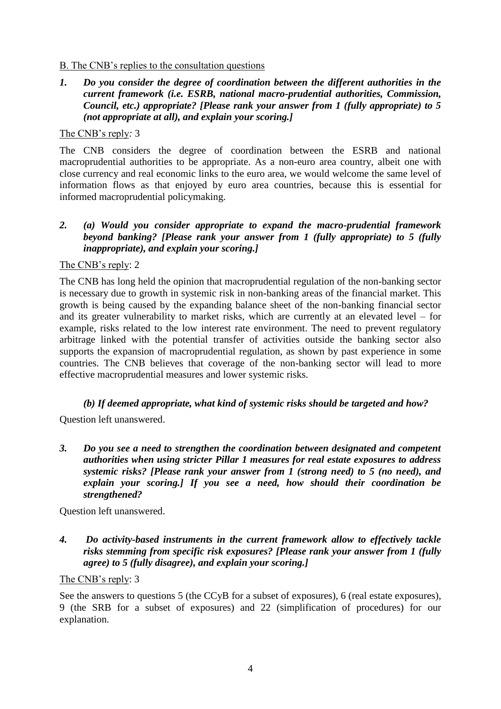# B. The CNB's replies to the consultation questions

*1. Do you consider the degree of coordination between the different authorities in the current framework (i.e. ESRB, national macro-prudential authorities, Commission, Council, etc.) appropriate? [Please rank your answer from 1 (fully appropriate) to 5 (not appropriate at all), and explain your scoring.]* 

#### The CNB's reply*:* 3

The CNB considers the degree of coordination between the ESRB and national macroprudential authorities to be appropriate. As a non-euro area country, albeit one with close currency and real economic links to the euro area, we would welcome the same level of information flows as that enjoyed by euro area countries, because this is essential for informed macroprudential policymaking.

# *2. (a) Would you consider appropriate to expand the macro-prudential framework beyond banking? [Please rank your answer from 1 (fully appropriate) to 5 (fully inappropriate), and explain your scoring.]*

#### The CNB's reply: 2

The CNB has long held the opinion that macroprudential regulation of the non-banking sector is necessary due to growth in systemic risk in non-banking areas of the financial market. This growth is being caused by the expanding balance sheet of the non-banking financial sector and its greater vulnerability to market risks, which are currently at an elevated level – for example, risks related to the low interest rate environment. The need to prevent regulatory arbitrage linked with the potential transfer of activities outside the banking sector also supports the expansion of macroprudential regulation, as shown by past experience in some countries. The CNB believes that coverage of the non-banking sector will lead to more effective macroprudential measures and lower systemic risks.

# *(b) If deemed appropriate, what kind of systemic risks should be targeted and how?*

Question left unanswered.

*3. Do you see a need to strengthen the coordination between designated and competent authorities when using stricter Pillar 1 measures for real estate exposures to address systemic risks? [Please rank your answer from 1 (strong need) to 5 (no need), and explain your scoring.] If you see a need, how should their coordination be strengthened?* 

Question left unanswered.

*4. Do activity-based instruments in the current framework allow to effectively tackle risks stemming from specific risk exposures? [Please rank your answer from 1 (fully agree) to 5 (fully disagree), and explain your scoring.]* 

#### The CNB's reply: 3

See the answers to questions 5 (the CCyB for a subset of exposures), 6 (real estate exposures), 9 (the SRB for a subset of exposures) and 22 (simplification of procedures) for our explanation.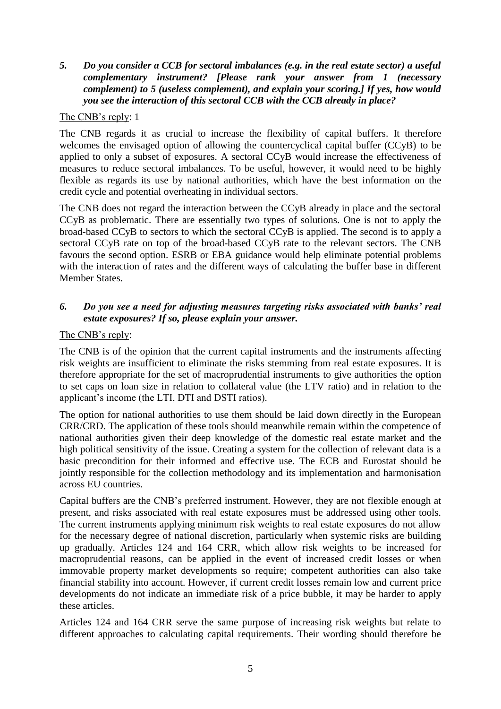# *5. Do you consider a CCB for sectoral imbalances (e.g. in the real estate sector) a useful complementary instrument? [Please rank your answer from 1 (necessary complement) to 5 (useless complement), and explain your scoring.] If yes, how would you see the interaction of this sectoral CCB with the CCB already in place?*

# The CNB's reply: 1

The CNB regards it as crucial to increase the flexibility of capital buffers. It therefore welcomes the envisaged option of allowing the countercyclical capital buffer (CCyB) to be applied to only a subset of exposures. A sectoral CCyB would increase the effectiveness of measures to reduce sectoral imbalances. To be useful, however, it would need to be highly flexible as regards its use by national authorities, which have the best information on the credit cycle and potential overheating in individual sectors.

The CNB does not regard the interaction between the CCyB already in place and the sectoral CCyB as problematic. There are essentially two types of solutions. One is not to apply the broad-based CCyB to sectors to which the sectoral CCyB is applied. The second is to apply a sectoral CCyB rate on top of the broad-based CCyB rate to the relevant sectors. The CNB favours the second option. ESRB or EBA guidance would help eliminate potential problems with the interaction of rates and the different ways of calculating the buffer base in different Member States.

# *6. Do you see a need for adjusting measures targeting risks associated with banks' real estate exposures? If so, please explain your answer.*

#### The CNB's reply:

The CNB is of the opinion that the current capital instruments and the instruments affecting risk weights are insufficient to eliminate the risks stemming from real estate exposures. It is therefore appropriate for the set of macroprudential instruments to give authorities the option to set caps on loan size in relation to collateral value (the LTV ratio) and in relation to the applicant's income (the LTI, DTI and DSTI ratios).

The option for national authorities to use them should be laid down directly in the European CRR/CRD. The application of these tools should meanwhile remain within the competence of national authorities given their deep knowledge of the domestic real estate market and the high political sensitivity of the issue. Creating a system for the collection of relevant data is a basic precondition for their informed and effective use. The ECB and Eurostat should be jointly responsible for the collection methodology and its implementation and harmonisation across EU countries.

Capital buffers are the CNB's preferred instrument. However, they are not flexible enough at present, and risks associated with real estate exposures must be addressed using other tools. The current instruments applying minimum risk weights to real estate exposures do not allow for the necessary degree of national discretion, particularly when systemic risks are building up gradually. Articles 124 and 164 CRR, which allow risk weights to be increased for macroprudential reasons, can be applied in the event of increased credit losses or when immovable property market developments so require; competent authorities can also take financial stability into account. However, if current credit losses remain low and current price developments do not indicate an immediate risk of a price bubble, it may be harder to apply these articles.

Articles 124 and 164 CRR serve the same purpose of increasing risk weights but relate to different approaches to calculating capital requirements. Their wording should therefore be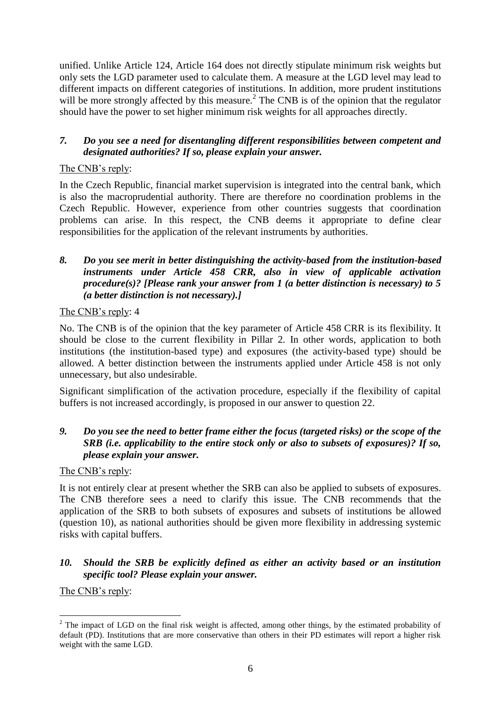unified. Unlike Article 124, Article 164 does not directly stipulate minimum risk weights but only sets the LGD parameter used to calculate them. A measure at the LGD level may lead to different impacts on different categories of institutions. In addition, more prudent institutions will be more strongly affected by this measure.<sup>2</sup> The CNB is of the opinion that the regulator should have the power to set higher minimum risk weights for all approaches directly.

# *7. Do you see a need for disentangling different responsibilities between competent and designated authorities? If so, please explain your answer.*

# The CNB's reply:

In the Czech Republic, financial market supervision is integrated into the central bank, which is also the macroprudential authority. There are therefore no coordination problems in the Czech Republic. However, experience from other countries suggests that coordination problems can arise. In this respect, the CNB deems it appropriate to define clear responsibilities for the application of the relevant instruments by authorities.

# *8. Do you see merit in better distinguishing the activity-based from the institution-based instruments under Article 458 CRR, also in view of applicable activation procedure(s)? [Please rank your answer from 1 (a better distinction is necessary) to 5 (a better distinction is not necessary).]*

# The CNB's reply: 4

No. The CNB is of the opinion that the key parameter of Article 458 CRR is its flexibility. It should be close to the current flexibility in Pillar 2. In other words, application to both institutions (the institution-based type) and exposures (the activity-based type) should be allowed. A better distinction between the instruments applied under Article 458 is not only unnecessary, but also undesirable.

Significant simplification of the activation procedure, especially if the flexibility of capital buffers is not increased accordingly, is proposed in our answer to question 22.

# *9. Do you see the need to better frame either the focus (targeted risks) or the scope of the SRB (i.e. applicability to the entire stock only or also to subsets of exposures)? If so, please explain your answer.*

# The CNB's reply:

It is not entirely clear at present whether the SRB can also be applied to subsets of exposures. The CNB therefore sees a need to clarify this issue. The CNB recommends that the application of the SRB to both subsets of exposures and subsets of institutions be allowed (question 10), as national authorities should be given more flexibility in addressing systemic risks with capital buffers.

#### *10. Should the SRB be explicitly defined as either an activity based or an institution specific tool? Please explain your answer.*

The CNB's reply:

<sup>1</sup>  $2$  The impact of LGD on the final risk weight is affected, among other things, by the estimated probability of default (PD). Institutions that are more conservative than others in their PD estimates will report a higher risk weight with the same LGD.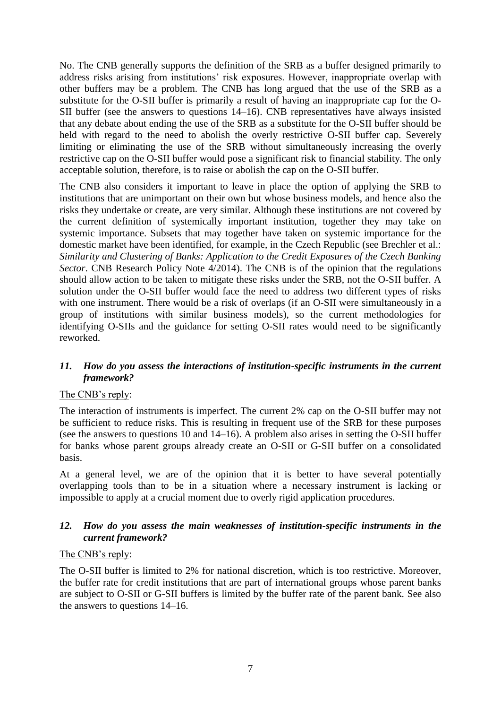No. The CNB generally supports the definition of the SRB as a buffer designed primarily to address risks arising from institutions' risk exposures. However, inappropriate overlap with other buffers may be a problem. The CNB has long argued that the use of the SRB as a substitute for the O-SII buffer is primarily a result of having an inappropriate cap for the O-SII buffer (see the answers to questions 14–16). CNB representatives have always insisted that any debate about ending the use of the SRB as a substitute for the O-SII buffer should be held with regard to the need to abolish the overly restrictive O-SII buffer cap. Severely limiting or eliminating the use of the SRB without simultaneously increasing the overly restrictive cap on the O-SII buffer would pose a significant risk to financial stability. The only acceptable solution, therefore, is to raise or abolish the cap on the O-SII buffer.

The CNB also considers it important to leave in place the option of applying the SRB to institutions that are unimportant on their own but whose business models, and hence also the risks they undertake or create, are very similar. Although these institutions are not covered by the current definition of systemically important institution, together they may take on systemic importance. Subsets that may together have taken on systemic importance for the domestic market have been identified, for example, in the Czech Republic (see Brechler et al.: *Similarity and Clustering of Banks: Application to the Credit Exposures of the Czech Banking Sector*. CNB Research Policy Note 4/2014). The CNB is of the opinion that the regulations should allow action to be taken to mitigate these risks under the SRB, not the O-SII buffer. A solution under the O-SII buffer would face the need to address two different types of risks with one instrument. There would be a risk of overlaps (if an O-SII were simultaneously in a group of institutions with similar business models), so the current methodologies for identifying O-SIIs and the guidance for setting O-SII rates would need to be significantly reworked.

# *11. How do you assess the interactions of institution-specific instruments in the current framework?*

#### The CNB's reply:

The interaction of instruments is imperfect. The current 2% cap on the O-SII buffer may not be sufficient to reduce risks. This is resulting in frequent use of the SRB for these purposes (see the answers to questions 10 and 14–16). A problem also arises in setting the O-SII buffer for banks whose parent groups already create an O-SII or G-SII buffer on a consolidated basis.

At a general level, we are of the opinion that it is better to have several potentially overlapping tools than to be in a situation where a necessary instrument is lacking or impossible to apply at a crucial moment due to overly rigid application procedures.

# *12. How do you assess the main weaknesses of institution-specific instruments in the current framework?*

#### The CNB's reply:

The O-SII buffer is limited to 2% for national discretion, which is too restrictive. Moreover, the buffer rate for credit institutions that are part of international groups whose parent banks are subject to O-SII or G-SII buffers is limited by the buffer rate of the parent bank. See also the answers to questions 14–16.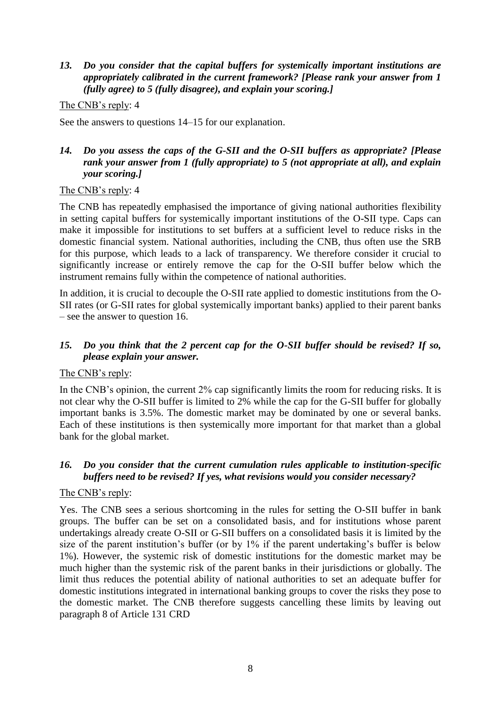## *13. Do you consider that the capital buffers for systemically important institutions are appropriately calibrated in the current framework? [Please rank your answer from 1 (fully agree) to 5 (fully disagree), and explain your scoring.]*

#### The CNB's reply: 4

See the answers to questions 14–15 for our explanation.

# *14. Do you assess the caps of the G-SII and the O-SII buffers as appropriate? [Please rank your answer from 1 (fully appropriate) to 5 (not appropriate at all), and explain your scoring.]*

#### The CNB's reply: 4

The CNB has repeatedly emphasised the importance of giving national authorities flexibility in setting capital buffers for systemically important institutions of the O-SII type. Caps can make it impossible for institutions to set buffers at a sufficient level to reduce risks in the domestic financial system. National authorities, including the CNB, thus often use the SRB for this purpose, which leads to a lack of transparency. We therefore consider it crucial to significantly increase or entirely remove the cap for the O-SII buffer below which the instrument remains fully within the competence of national authorities.

In addition, it is crucial to decouple the O-SII rate applied to domestic institutions from the O-SII rates (or G-SII rates for global systemically important banks) applied to their parent banks – see the answer to question 16.

# *15. Do you think that the 2 percent cap for the O-SII buffer should be revised? If so, please explain your answer.*

# The CNB's reply:

In the CNB's opinion, the current 2% cap significantly limits the room for reducing risks. It is not clear why the O-SII buffer is limited to 2% while the cap for the G-SII buffer for globally important banks is 3.5%. The domestic market may be dominated by one or several banks. Each of these institutions is then systemically more important for that market than a global bank for the global market.

# *16. Do you consider that the current cumulation rules applicable to institution-specific buffers need to be revised? If yes, what revisions would you consider necessary?*

# The CNB's reply:

Yes. The CNB sees a serious shortcoming in the rules for setting the O-SII buffer in bank groups. The buffer can be set on a consolidated basis, and for institutions whose parent undertakings already create O-SII or G-SII buffers on a consolidated basis it is limited by the size of the parent institution's buffer (or by 1% if the parent undertaking's buffer is below 1%). However, the systemic risk of domestic institutions for the domestic market may be much higher than the systemic risk of the parent banks in their jurisdictions or globally. The limit thus reduces the potential ability of national authorities to set an adequate buffer for domestic institutions integrated in international banking groups to cover the risks they pose to the domestic market. The CNB therefore suggests cancelling these limits by leaving out paragraph 8 of Article 131 CRD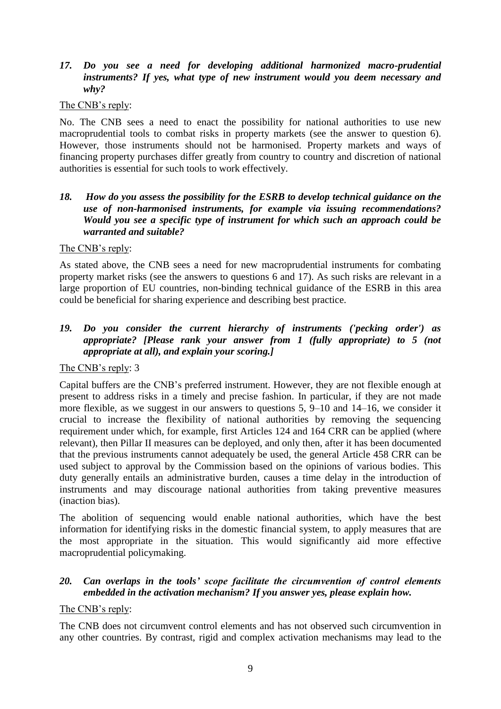#### *17. Do you see a need for developing additional harmonized macro-prudential instruments? If yes, what type of new instrument would you deem necessary and why?*

#### The CNB's reply:

No. The CNB sees a need to enact the possibility for national authorities to use new macroprudential tools to combat risks in property markets (see the answer to question 6). However, those instruments should not be harmonised. Property markets and ways of financing property purchases differ greatly from country to country and discretion of national authorities is essential for such tools to work effectively.

#### *18. How do you assess the possibility for the ESRB to develop technical guidance on the use of non-harmonised instruments, for example via issuing recommendations? Would you see a specific type of instrument for which such an approach could be warranted and suitable?*

#### The CNB's reply:

As stated above, the CNB sees a need for new macroprudential instruments for combating property market risks (see the answers to questions 6 and 17). As such risks are relevant in a large proportion of EU countries, non-binding technical guidance of the ESRB in this area could be beneficial for sharing experience and describing best practice.

# *19. Do you consider the current hierarchy of instruments ('pecking order') as appropriate? [Please rank your answer from 1 (fully appropriate) to 5 (not appropriate at all), and explain your scoring.]*

#### The CNB's reply: 3

Capital buffers are the CNB's preferred instrument. However, they are not flexible enough at present to address risks in a timely and precise fashion. In particular, if they are not made more flexible, as we suggest in our answers to questions 5, 9–10 and 14–16, we consider it crucial to increase the flexibility of national authorities by removing the sequencing requirement under which, for example, first Articles 124 and 164 CRR can be applied (where relevant), then Pillar II measures can be deployed, and only then, after it has been documented that the previous instruments cannot adequately be used, the general Article 458 CRR can be used subject to approval by the Commission based on the opinions of various bodies. This duty generally entails an administrative burden, causes a time delay in the introduction of instruments and may discourage national authorities from taking preventive measures (inaction bias).

The abolition of sequencing would enable national authorities, which have the best information for identifying risks in the domestic financial system, to apply measures that are the most appropriate in the situation. This would significantly aid more effective macroprudential policymaking.

# *20. Can overlaps in the tools' scope facilitate the circumvention of control elements embedded in the activation mechanism? If you answer yes, please explain how.*

#### The CNB's reply:

The CNB does not circumvent control elements and has not observed such circumvention in any other countries. By contrast, rigid and complex activation mechanisms may lead to the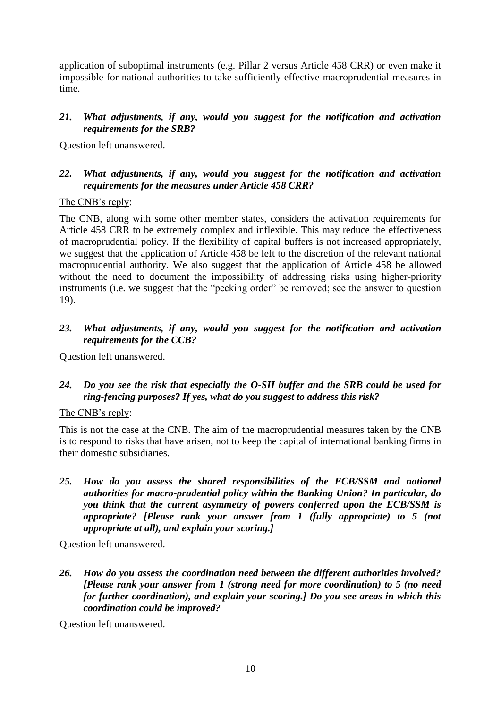application of suboptimal instruments (e.g. Pillar 2 versus Article 458 CRR) or even make it impossible for national authorities to take sufficiently effective macroprudential measures in time.

#### *21. What adjustments, if any, would you suggest for the notification and activation requirements for the SRB?*

Question left unanswered.

# *22. What adjustments, if any, would you suggest for the notification and activation requirements for the measures under Article 458 CRR?*

#### The CNB's reply:

The CNB, along with some other member states, considers the activation requirements for Article 458 CRR to be extremely complex and inflexible. This may reduce the effectiveness of macroprudential policy. If the flexibility of capital buffers is not increased appropriately, we suggest that the application of Article 458 be left to the discretion of the relevant national macroprudential authority. We also suggest that the application of Article 458 be allowed without the need to document the impossibility of addressing risks using higher-priority instruments (i.e. we suggest that the "pecking order" be removed; see the answer to question 19).

# *23. What adjustments, if any, would you suggest for the notification and activation requirements for the CCB?*

Question left unanswered.

# *24. Do you see the risk that especially the O-SII buffer and the SRB could be used for ring-fencing purposes? If yes, what do you suggest to address this risk?*

#### The CNB's reply:

This is not the case at the CNB. The aim of the macroprudential measures taken by the CNB is to respond to risks that have arisen, not to keep the capital of international banking firms in their domestic subsidiaries.

*25. How do you assess the shared responsibilities of the ECB/SSM and national authorities for macro-prudential policy within the Banking Union? In particular, do you think that the current asymmetry of powers conferred upon the ECB/SSM is appropriate? [Please rank your answer from 1 (fully appropriate) to 5 (not appropriate at all), and explain your scoring.]* 

Question left unanswered.

*26. How do you assess the coordination need between the different authorities involved? [Please rank your answer from 1 (strong need for more coordination) to 5 (no need for further coordination), and explain your scoring.] Do you see areas in which this coordination could be improved?*

Question left unanswered.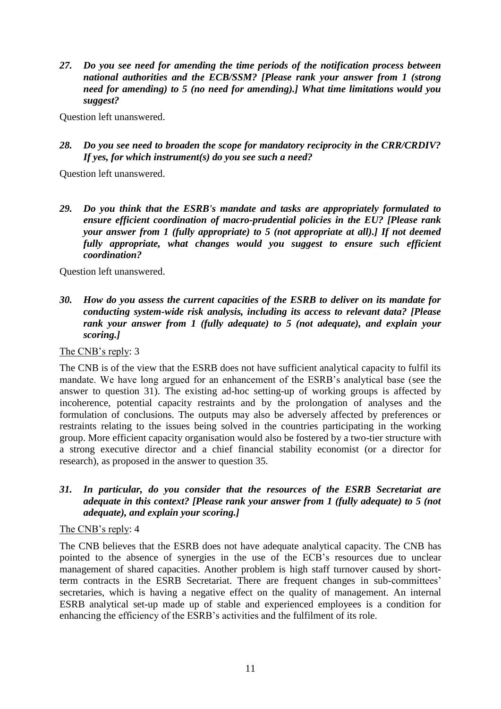*27. Do you see need for amending the time periods of the notification process between national authorities and the ECB/SSM? [Please rank your answer from 1 (strong need for amending) to 5 (no need for amending).] What time limitations would you suggest?* 

Question left unanswered.

*28. Do you see need to broaden the scope for mandatory reciprocity in the CRR/CRDIV? If yes, for which instrument(s) do you see such a need?* 

Question left unanswered.

*29. Do you think that the ESRB's mandate and tasks are appropriately formulated to ensure efficient coordination of macro-prudential policies in the EU? [Please rank your answer from 1 (fully appropriate) to 5 (not appropriate at all).] If not deemed fully appropriate, what changes would you suggest to ensure such efficient coordination?* 

Question left unanswered.

*30. How do you assess the current capacities of the ESRB to deliver on its mandate for conducting system-wide risk analysis, including its access to relevant data? [Please rank your answer from 1 (fully adequate) to 5 (not adequate), and explain your scoring.]*

The CNB's reply: 3

The CNB is of the view that the ESRB does not have sufficient analytical capacity to fulfil its mandate. We have long argued for an enhancement of the ESRB's analytical base (see the answer to question 31). The existing ad-hoc setting-up of working groups is affected by incoherence, potential capacity restraints and by the prolongation of analyses and the formulation of conclusions. The outputs may also be adversely affected by preferences or restraints relating to the issues being solved in the countries participating in the working group. More efficient capacity organisation would also be fostered by a two-tier structure with a strong executive director and a chief financial stability economist (or a director for research), as proposed in the answer to question 35.

*31. In particular, do you consider that the resources of the ESRB Secretariat are adequate in this context? [Please rank your answer from 1 (fully adequate) to 5 (not adequate), and explain your scoring.]*

The CNB's reply: 4

The CNB believes that the ESRB does not have adequate analytical capacity. The CNB has pointed to the absence of synergies in the use of the ECB's resources due to unclear management of shared capacities. Another problem is high staff turnover caused by shortterm contracts in the ESRB Secretariat. There are frequent changes in sub-committees' secretaries, which is having a negative effect on the quality of management. An internal ESRB analytical set-up made up of stable and experienced employees is a condition for enhancing the efficiency of the ESRB's activities and the fulfilment of its role.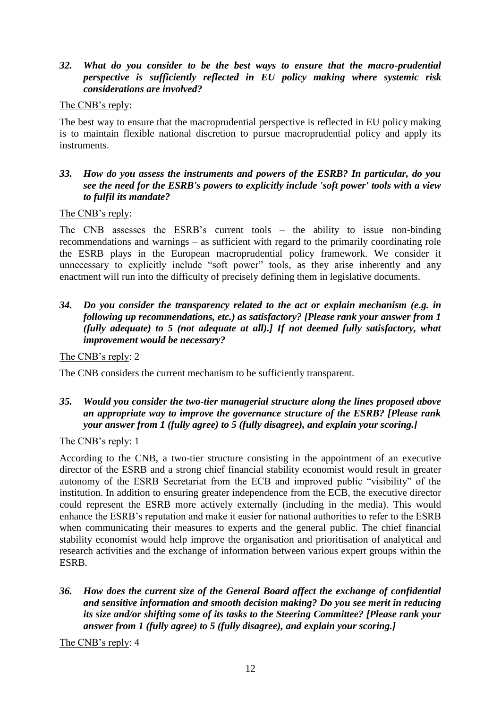# *32. What do you consider to be the best ways to ensure that the macro-prudential perspective is sufficiently reflected in EU policy making where systemic risk considerations are involved?*

#### The CNB's reply:

The best way to ensure that the macroprudential perspective is reflected in EU policy making is to maintain flexible national discretion to pursue macroprudential policy and apply its instruments.

# *33. How do you assess the instruments and powers of the ESRB? In particular, do you see the need for the ESRB's powers to explicitly include 'soft power' tools with a view to fulfil its mandate?*

#### The CNB's reply:

The CNB assesses the ESRB's current tools – the ability to issue non-binding recommendations and warnings – as sufficient with regard to the primarily coordinating role the ESRB plays in the European macroprudential policy framework. We consider it unnecessary to explicitly include "soft power" tools, as they arise inherently and any enactment will run into the difficulty of precisely defining them in legislative documents.

#### *34. Do you consider the transparency related to the act or explain mechanism (e.g. in following up recommendations, etc.) as satisfactory? [Please rank your answer from 1 (fully adequate) to 5 (not adequate at all).] If not deemed fully satisfactory, what improvement would be necessary?*

The CNB's reply: 2

The CNB considers the current mechanism to be sufficiently transparent.

# *35. Would you consider the two-tier managerial structure along the lines proposed above an appropriate way to improve the governance structure of the ESRB? [Please rank your answer from 1 (fully agree) to 5 (fully disagree), and explain your scoring.]*

# The CNB's reply: 1

According to the CNB, a two-tier structure consisting in the appointment of an executive director of the ESRB and a strong chief financial stability economist would result in greater autonomy of the ESRB Secretariat from the ECB and improved public "visibility" of the institution. In addition to ensuring greater independence from the ECB, the executive director could represent the ESRB more actively externally (including in the media). This would enhance the ESRB's reputation and make it easier for national authorities to refer to the ESRB when communicating their measures to experts and the general public. The chief financial stability economist would help improve the organisation and prioritisation of analytical and research activities and the exchange of information between various expert groups within the ESRB.

*36. How does the current size of the General Board affect the exchange of confidential and sensitive information and smooth decision making? Do you see merit in reducing its size and/or shifting some of its tasks to the Steering Committee? [Please rank your answer from 1 (fully agree) to 5 (fully disagree), and explain your scoring.]*

The CNB's reply: 4